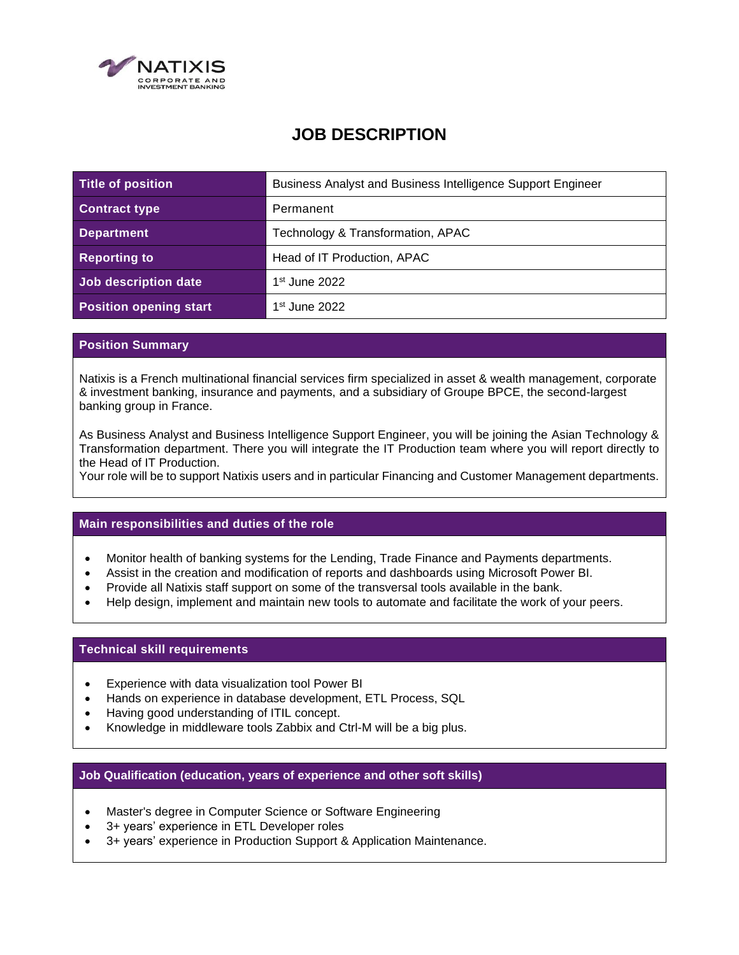

# **JOB DESCRIPTION**

| Title of position             | Business Analyst and Business Intelligence Support Engineer |
|-------------------------------|-------------------------------------------------------------|
| <b>Contract type</b>          | Permanent                                                   |
| <b>Department</b>             | Technology & Transformation, APAC                           |
| <b>Reporting to</b>           | Head of IT Production, APAC                                 |
| Job description date          | $1st$ June 2022                                             |
| <b>Position opening start</b> | $1st$ June 2022                                             |

## **Position Summary**

Natixis is a French multinational financial services firm specialized in asset & wealth management, corporate & investment banking, insurance and payments, and a subsidiary of Groupe BPCE, the second-largest banking group in France.

As Business Analyst and Business Intelligence Support Engineer, you will be joining the Asian Technology & Transformation department. There you will integrate the IT Production team where you will report directly to the Head of IT Production.

Your role will be to support Natixis users and in particular Financing and Customer Management departments.

### **Main responsibilities and duties of the role**

- Monitor health of banking systems for the Lending, Trade Finance and Payments departments.
- Assist in the creation and modification of reports and dashboards using Microsoft Power BI.
- Provide all Natixis staff support on some of the transversal tools available in the bank.
- Help design, implement and maintain new tools to automate and facilitate the work of your peers.

## **Technical skill requirements**

- Experience with data visualization tool Power BI
- Hands on experience in database development, ETL Process, SQL
- Having good understanding of ITIL concept.
- Knowledge in middleware tools Zabbix and Ctrl-M will be a big plus.

### **Job Qualification (education, years of experience and other soft skills)**

- Master's degree in Computer Science or Software Engineering
- 3+ years' experience in ETL Developer roles
- 3+ years' experience in Production Support & Application Maintenance.